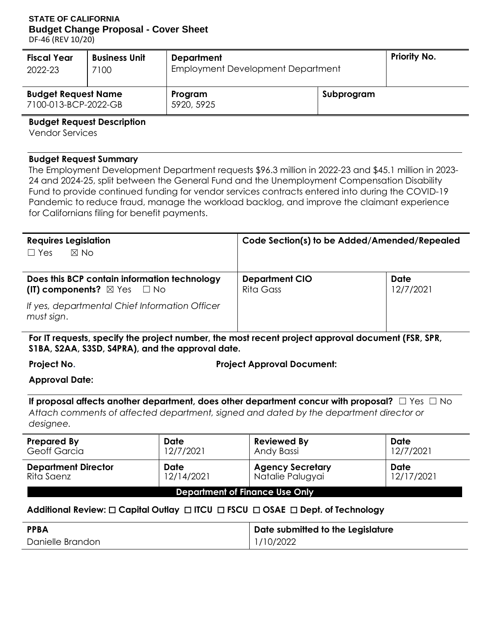#### **STATE OF CALIFORNIA Budget Change Proposal - Cover Sheet**

DF-46 (REV 10/20)

| <b>Fiscal Year</b>                                 | <b>Business Unit</b> | <b>Department</b>                 | <b>Priority No.</b> |  |
|----------------------------------------------------|----------------------|-----------------------------------|---------------------|--|
| 2022-23                                            | 7100                 | Employment Development Department |                     |  |
| <b>Budget Request Name</b><br>7100-013-BCP-2022-GB |                      | Program<br>5920, 5925             | Subprogram          |  |

**Budget Request Description** 

Vendor Services

#### **Budget Request Summary**

 24 and 2024-25, split between the General Fund and the Unemployment Compensation Disability Fund to provide continued funding for vendor services contracts entered into during the COVID-19 for Californians filing for benefit payments. The Employment Development Department requests \$96.3 million in 2022-23 and \$45.1 million in 2023- Pandemic to reduce fraud, manage the workload backlog, and improve the claimant experience

| <b>Requires Legislation</b>                                                                | Code Section(s) to be Added/Amended/Repealed |                          |  |  |
|--------------------------------------------------------------------------------------------|----------------------------------------------|--------------------------|--|--|
| $\boxtimes$ No<br>$\Box$ Yes                                                               |                                              |                          |  |  |
| Does this BCP contain information technology<br>(IT) components? $\boxtimes$ Yes $\Box$ No | <b>Department CIO</b><br>Rita Gass           | <b>Date</b><br>12/7/2021 |  |  |
| If yes, departmental Chief Information Officer<br>must sign.                               |                                              |                          |  |  |

**For IT requests, specify the project number, the most recent project approval document (FSR, SPR, S1BA, S2AA, S3SD, S4PRA), and the approval date.** 

**Project No. Project Approval Document:** 

**Approval Date:** 

 **If proposal affects another department, does other department concur with proposal?** ☐ Yes ☐ No *Attach comments of affected department, signed and dated by the department director or designee.* 

| <b>Prepared By</b>                    | <b>Date</b> | <b>Reviewed By</b>      | <b>Date</b> |  |  |  |
|---------------------------------------|-------------|-------------------------|-------------|--|--|--|
| <b>Geoff Garcia</b>                   | 12/7/2021   | Andy Bassi              | 12/7/2021   |  |  |  |
| <b>Department Director</b>            | <b>Date</b> | <b>Agency Secretary</b> | Date        |  |  |  |
| Rita Saenz                            | 12/14/2021  | Natalie Palugyai        | 12/17/2021  |  |  |  |
| <b>Department of Finance Use Only</b> |             |                         |             |  |  |  |

## **Additional Review:** ☐ **Capital Outlay** ☐ **ITCU** ☐ **FSCU** ☐ **OSAE** ☐ **Dept. of Technology**

| <b>PPBA</b>      | Date submitted to the Legislature |
|------------------|-----------------------------------|
| Danielle Brandon | 1/10/2022                         |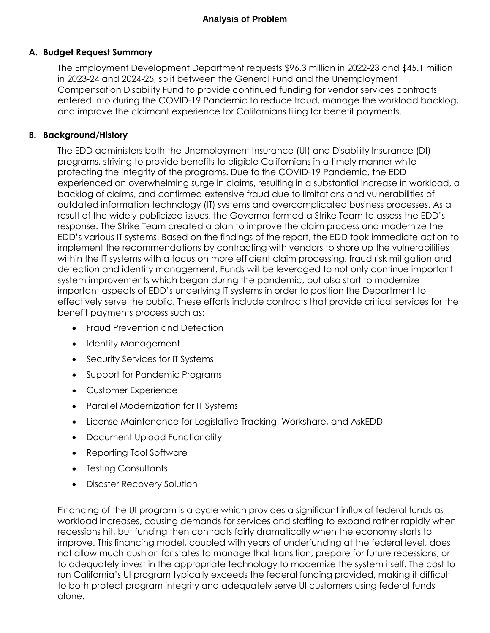### **A. Budget Request Summary**

 Compensation Disability Fund to provide continued funding for vendor services contracts entered into during the COVID-19 Pandemic to reduce fraud, manage the workload backlog, and improve the claimant experience for Californians filing for benefit payments. The Employment Development Department requests \$96.3 million in 2022-23 and \$45.1 million in 2023-24 and 2024-25, split between the General Fund and the Unemployment

#### **B. Background/History**

 programs, striving to provide benefits to eligible Californians in a timely manner while protecting the integrity of the programs. Due to the COVID-19 Pandemic, the EDD backlog of claims, and confirmed extensive fraud due to limitations and vulnerabilities of outdated information technology (IT) systems and overcomplicated business processes. As a result of the widely publicized issues, the Governor formed a Strike Team to assess the EDD's response. The Strike Team created a plan to improve the claim process and modernize the EDD's various IT systems. Based on the findings of the report, the EDD took immediate action to implement the recommendations by contracting with vendors to shore up the vulnerabilities within the IT systems with a focus on more efficient claim processing, fraud risk mitigation and detection and identity management. Funds will be leveraged to not only continue important important aspects of EDD's underlying IT systems in order to position the Department to effectively serve the public. These efforts include contracts that provide critical services for the The EDD administers both the Unemployment Insurance (UI) and Disability Insurance (DI) experienced an overwhelming surge in claims, resulting in a substantial increase in workload, a system improvements which began during the pandemic, but also start to modernize benefit payments process such as:

- Fraud Prevention and Detection
- Identity Management
- Security Services for IT Systems
- Support for Pandemic Programs
- Customer Experience
- Parallel Modernization for IT Systems
- License Maintenance for Legislative Tracking, Workshare, and AskEDD
- Document Upload Functionality
- Reporting Tool Software
- Testing Consultants
- Disaster Recovery Solution

 Financing of the UI program is a cycle which provides a significant influx of federal funds as workload increases, causing demands for services and staffing to expand rather rapidly when recessions hit, but funding then contracts fairly dramatically when the economy starts to improve. This financing model, coupled with years of underfunding at the federal level, does not allow much cushion for states to manage that transition, prepare for future recessions, or to adequately invest in the appropriate technology to modernize the system itself. The cost to run California's UI program typically exceeds the federal funding provided, making it difficult to both protect program integrity and adequately serve UI customers using federal funds alone.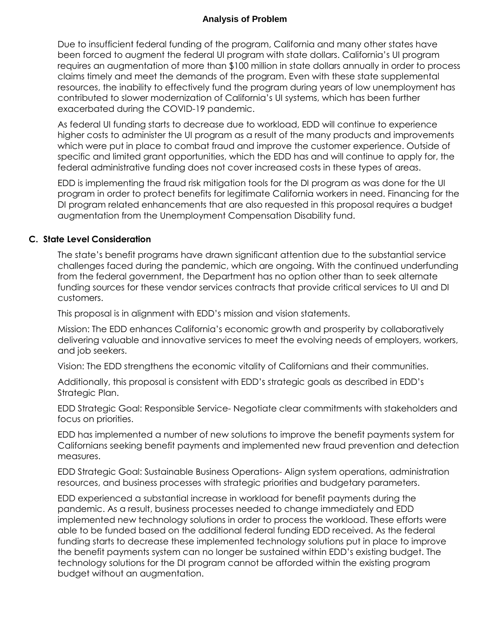Due to insufficient federal funding of the program, California and many other states have been forced to augment the federal UI program with state dollars. California's UI program requires an augmentation of more than \$100 million in state dollars annually in order to process claims timely and meet the demands of the program. Even with these state supplemental resources, the inability to effectively fund the program during years of low unemployment has contributed to slower modernization of California's UI systems, which has been further exacerbated during the COVID-19 pandemic.

 As federal UI funding starts to decrease due to workload, EDD will continue to experience higher costs to administer the UI program as a result of the many products and improvements which were put in place to combat fraud and improve the customer experience. Outside of specific and limited grant opportunities, which the EDD has and will continue to apply for, the federal administrative funding does not cover increased costs in these types of areas.

 EDD is implementing the fraud risk mitigation tools for the DI program as was done for the UI program in order to protect benefits for legitimate California workers in need. Financing for the DI program related enhancements that are also requested in this proposal requires a budget augmentation from the Unemployment Compensation Disability fund.

#### **C. State Level Consideration**

 challenges faced during the pandemic, which are ongoing. With the continued underfunding from the federal government, the Department has no option other than to seek alternate funding sources for these vendor services contracts that provide critical services to UI and DI The state's benefit programs have drawn significant attention due to the substantial service customers.

This proposal is in alignment with EDD's mission and vision statements.

 Mission: The EDD enhances California's economic growth and prosperity by collaboratively delivering valuable and innovative services to meet the evolving needs of employers, workers, and job seekers.

Vision: The EDD strengthens the economic vitality of Californians and their communities.

 Additionally, this proposal is consistent with EDD's strategic goals as described in EDD's Strategic Plan.

 EDD Strategic Goal: Responsible Service- Negotiate clear commitments with stakeholders and focus on priorities.

 EDD has implemented a number of new solutions to improve the benefit payments system for Californians seeking benefit payments and implemented new fraud prevention and detection measures.

 EDD Strategic Goal: Sustainable Business Operations- Align system operations, administration resources, and business processes with strategic priorities and budgetary parameters.

 pandemic. As a result, business processes needed to change immediately and EDD implemented new technology solutions in order to process the workload. These efforts were able to be funded based on the additional federal funding EDD received. As the federal funding starts to decrease these implemented technology solutions put in place to improve the benefit payments system can no longer be sustained within EDD's existing budget. The technology solutions for the DI program cannot be afforded within the existing program EDD experienced a substantial increase in workload for benefit payments during the budget without an augmentation.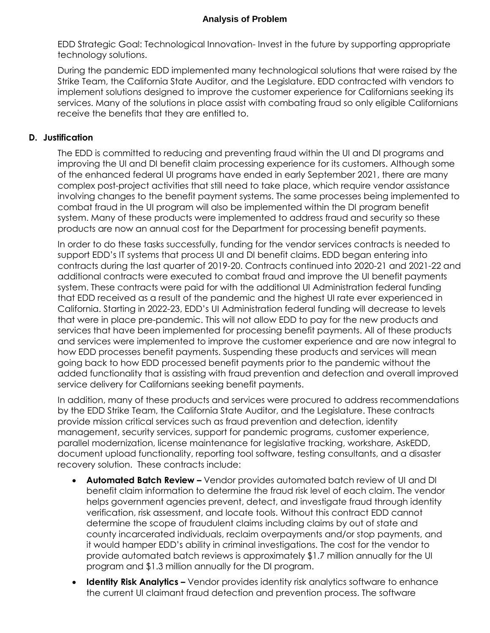EDD Strategic Goal: Technological Innovation- Invest in the future by supporting appropriate technology solutions.

 During the pandemic EDD implemented many technological solutions that were raised by the Strike Team, the California State Auditor, and the Legislature. EDD contracted with vendors to receive the benefits that they are entitled to. implement solutions designed to improve the customer experience for Californians seeking its services. Many of the solutions in place assist with combating fraud so only eligible Californians

#### **D. Justification**

 The EDD is committed to reducing and preventing fraud within the UI and DI programs and of the enhanced federal UI programs have ended in early September 2021, there are many complex post-project activities that still need to take place, which require vendor assistance involving changes to the benefit payment systems. The same processes being implemented to system. Many of these products were implemented to address fraud and security so these products are now an annual cost for the Department for processing benefit payments. improving the UI and DI benefit claim processing experience for its customers. Although some combat fraud in the UI program will also be implemented within the DI program benefit

 In order to do these tasks successfully, funding for the vendor services contracts is needed to support EDD's IT systems that process UI and DI benefit claims. EDD began entering into contracts during the last quarter of 2019-20. Contracts continued into 2020-21 and 2021-22 and system. These contracts were paid for with the additional UI Administration federal funding that EDD received as a result of the pandemic and the highest UI rate ever experienced in California. Starting in 2022-23, EDD's UI Administration federal funding will decrease to levels that were in place pre-pandemic. This will not allow EDD to pay for the new products and services that have been implemented for processing benefit payments. All of these products and services were implemented to improve the customer experience and are now integral to how EDD processes benefit payments. Suspending these products and services will mean going back to how EDD processed benefit payments prior to the pandemic without the added functionality that is assisting with fraud prevention and detection and overall improved additional contracts were executed to combat fraud and improve the UI benefit payments service delivery for Californians seeking benefit payments.

 In addition, many of these products and services were procured to address recommendations provide mission critical services such as fraud prevention and detection, identity management, security services, support for pandemic programs, customer experience, document upload functionality, reporting tool software, testing consultants, and a disaster recovery solution. These contracts include: by the EDD Strike Team, the California State Auditor, and the Legislature. These contracts parallel modernization, license maintenance for legislative tracking, workshare, AskEDD,

- benefit claim information to determine the fraud risk level of each claim. The vendor helps government agencies prevent, detect, and investigate fraud through identity verification, risk assessment, and locate tools. Without this contract EDD cannot determine the scope of fraudulent claims including claims by out of state and county incarcerated individuals, reclaim overpayments and/or stop payments, and it would hamper EDD's ability in criminal investigations. The cost for the vendor to program and \$1.3 million annually for the DI program. **Automated Batch Review –** Vendor provides automated batch review of UI and DI provide automated batch reviews is approximately \$1.7 million annually for the UI
- **Identity Risk Analytics –** Vendor provides identity risk analytics software to enhance the current UI claimant fraud detection and prevention process. The software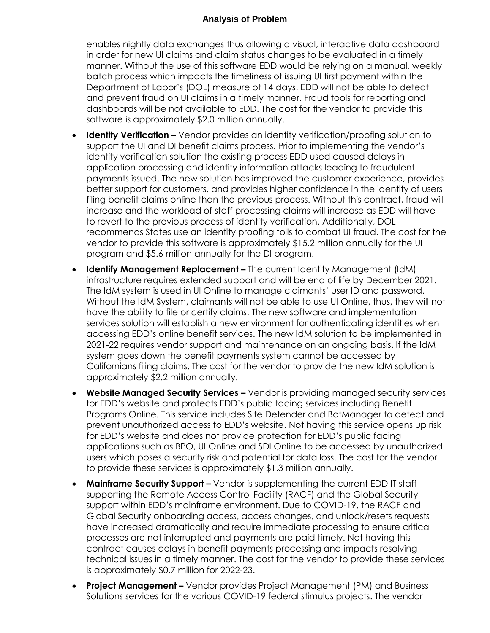enables nightly data exchanges thus allowing a visual, interactive data dashboard in order for new UI claims and claim status changes to be evaluated in a timely manner. Without the use of this software EDD would be relying on a manual, weekly Department of Labor's (DOL) measure of 14 days. EDD will not be able to detect and prevent fraud on UI claims in a timely manner. Fraud tools for reporting and dashboards will be not available to EDD. The cost for the vendor to provide this batch process which impacts the timeliness of issuing UI first payment within the software is approximately \$2.0 million annually.

- **Identity Verification –** Vendor provides an identity verification/proofing solution to support the UI and DI benefit claims process. Prior to implementing the vendor's identity verification solution the existing process EDD used caused delays in payments issued. The new solution has improved the customer experience, provides better support for customers, and provides higher confidence in the identity of users filing benefit claims online than the previous process. Without this contract, fraud will increase and the workload of staff processing claims will increase as EDD will have to revert to the previous process of identity verification. Additionally, DOL recommends States use an identity proofing tolls to combat UI fraud. The cost for the application processing and identity information attacks leading to fraudulent vendor to provide this software is approximately \$15.2 million annually for the UI program and \$5.6 million annually for the DI program.
- The IdM system is used in UI Online to manage claimants' user ID and password. Without the IdM System, claimants will not be able to use UI Online, thus, they will not have the ability to file or certify claims. The new software and implementation services solution will establish a new environment for authenticating identities when accessing EDD's online benefit services. The new IdM solution to be implemented in 2021-22 requires vendor support and maintenance on an ongoing basis. If the IdM system goes down the benefit payments system cannot be accessed by Californians filing claims. The cost for the vendor to provide the new IdM solution is **Identify Management Replacement –** The current Identity Management (IdM) infrastructure requires extended support and will be end of life by December 2021. approximately \$2.2 million annually.
- **Website Managed Security Services –** Vendor is providing managed security services for EDD's website and protects EDD's public facing services including Benefit Programs Online. This service includes Site Defender and BotManager to detect and prevent unauthorized access to EDD's website. Not having this service opens up risk for EDD's website and does not provide protection for EDD's public facing applications such as BPO, UI Online and SDI Online to be accessed by unauthorized users which poses a security risk and potential for data loss. The cost for the vendor to provide these services is approximately \$1.3 million annually.
- **Mainframe Security Support –** Vendor is supplementing the current EDD IT staff supporting the Remote Access Control Facility (RACF) and the Global Security support within EDD's mainframe environment. Due to COVID-19, the RACF and Global Security onboarding access, access changes, and unlock/resets requests contract causes delays in benefit payments processing and impacts resolving technical issues in a timely manner. The cost for the vendor to provide these services have increased dramatically and require immediate processing to ensure critical processes are not interrupted and payments are paid timely. Not having this is approximately \$0.7 million for 2022-23.
- Solutions services for the various COVID-19 federal stimulus projects. The vendor **Project Management –** Vendor provides Project Management (PM) and Business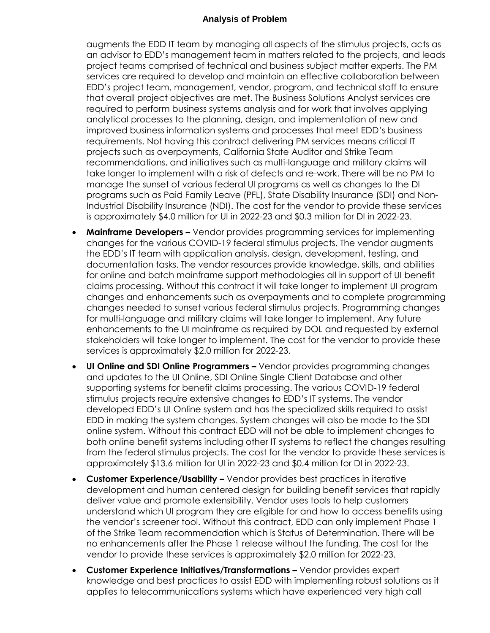augments the EDD IT team by managing all aspects of the stimulus projects, acts as an advisor to EDD's management team in matters related to the projects, and leads project teams comprised of technical and business subject matter experts. The PM EDD's project team, management, vendor, program, and technical staff to ensure that overall project objectives are met. The Business Solutions Analyst services are required to perform business systems analysis and for work that involves applying analytical processes to the planning, design, and implementation of new and improved business information systems and processes that meet EDD's business requirements. Not having this contract delivering PM services means critical IT projects such as overpayments, California State Auditor and Strike Team recommendations, and initiatives such as multi-language and military claims will take longer to implement with a risk of defects and re-work. There will be no PM to manage the sunset of various federal UI programs as well as changes to the DI programs such as Paid Family Leave (PFL), State Disability Insurance (SDI) and Non- Industrial Disability Insurance (NDI). The cost for the vendor to provide these services services are required to develop and maintain an effective collaboration between is approximately \$4.0 million for UI in 2022-23 and \$0.3 million for DI in 2022-23.

- **Mainframe Developers –** Vendor provides programming services for implementing changes for the various COVID-19 federal stimulus projects. The vendor augments the EDD's IT team with application analysis, design, development, testing, and documentation tasks. The vendor resources provide knowledge, skills, and abilities for online and batch mainframe support methodologies all in support of UI benefit claims processing. Without this contract it will take longer to implement UI program changes needed to sunset various federal stimulus projects. Programming changes for multi-language and military claims will take longer to implement. Any future enhancements to the UI mainframe as required by DOL and requested by external stakeholders will take longer to implement. The cost for the vendor to provide these services is approximately \$2.0 million for 2022-23. changes and enhancements such as overpayments and to complete programming
- and updates to the UI Online, SDI Online Single Client Database and other stimulus projects require extensive changes to EDD's IT systems. The vendor developed EDD's UI Online system and has the specialized skills required to assist EDD in making the system changes. System changes will also be made to the SDI online system. Without this contract EDD will not be able to implement changes to both online benefit systems including other IT systems to reflect the changes resulting from the federal stimulus projects. The cost for the vendor to provide these services is **UI Online and SDI Online Programmers –** Vendor provides programming changes supporting systems for benefit claims processing. The various COVID-19 federal approximately \$13.6 million for UI in 2022-23 and \$0.4 million for DI in 2022-23.
- deliver value and promote extensibility. Vendor uses tools to help customers understand which UI program they are eligible for and how to access benefits using the vendor's screener tool. Without this contract, EDD can only implement Phase 1 of the Strike Team recommendation which is Status of Determination. There will be no enhancements after the Phase 1 release without the funding. The cost for the vendor to provide these services is approximately \$2.0 million for 2022-23. **Customer Experience/Usability –** Vendor provides best practices in iterative development and human centered design for building benefit services that rapidly
- knowledge and best practices to assist EDD with implementing robust solutions as it applies to telecommunications systems which have experienced very high call **• Customer Experience Initiatives/Transformations -** Vendor provides expert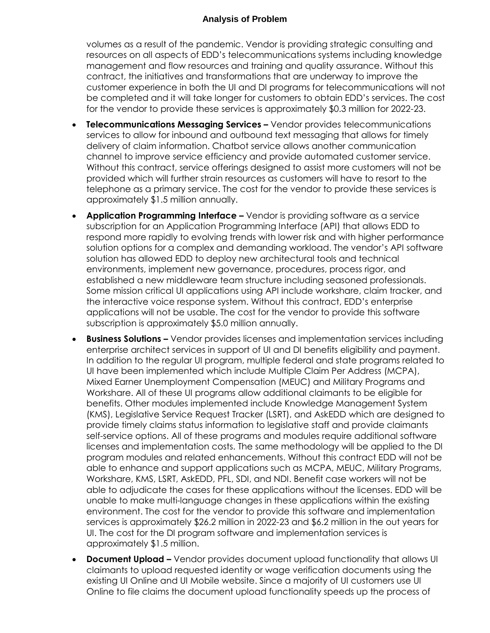volumes as a result of the pandemic. Vendor is providing strategic consulting and resources on all aspects of EDD's telecommunications systems including knowledge management and flow resources and training and quality assurance. Without this customer experience in both the UI and DI programs for telecommunications will not be completed and it will take longer for customers to obtain EDD's services. The cost for the vendor to provide these services is approximately \$0.3 million for 2022-23. contract, the initiatives and transformations that are underway to improve the

- services to allow for inbound and outbound text messaging that allows for timely delivery of claim information. Chatbot service allows another communication channel to improve service efficiency and provide automated customer service. Without this contract, service offerings designed to assist more customers will not be provided which will further strain resources as customers will have to resort to the telephone as a primary service. The cost for the vendor to provide these services is **Telecommunications Messaging Services –** Vendor provides telecommunications approximately \$1.5 million annually.
- subscription for an Application Programming Interface (API) that allows EDD to respond more rapidly to evolving trends with lower risk and with higher performance solution options for a complex and demanding workload. The vendor's API software solution has allowed EDD to deploy new architectural tools and technical environments, implement new governance, procedures, process rigor, and Some mission critical UI applications using API include workshare, claim tracker, and the interactive voice response system. Without this contract, EDD's enterprise applications will not be usable. The cost for the vendor to provide this software subscription is approximately \$5.0 million annually. **Application Programming Interface –** Vendor is providing software as a service established a new middleware team structure including seasoned professionals.
- **Business Solutions –** Vendor provides licenses and implementation services including In addition to the regular UI program, multiple federal and state programs related to UI have been implemented which include Multiple Claim Per Address (MCPA), Workshare. All of these UI programs allow additional claimants to be eligible for (KMS), Legislative Service Request Tracker (LSRT), and AskEDD which are designed to provide timely claims status information to legislative staff and provide claimants self-service options. All of these programs and modules require additional software licenses and implementation costs. The same methodology will be applied to the DI program modules and related enhancements. Without this contract EDD will not be able to enhance and support applications such as MCPA, MEUC, Military Programs, Workshare, KMS, LSRT, AskEDD, PFL, SDI, and NDI. Benefit case workers will not be able to adjudicate the cases for these applications without the licenses. EDD will be unable to make multi-language changes in these applications within the existing environment. The cost for the vendor to provide this software and implementation services is approximately \$26.2 million in 2022-23 and \$6.2 million in the out years for UI. The cost for the DI program software and implementation services is enterprise architect services in support of UI and DI benefits eligibility and payment. Mixed Earner Unemployment Compensation (MEUC) and Military Programs and benefits. Other modules implemented include Knowledge Management System approximately \$1.5 million.
- **Document Upload –** Vendor provides document upload functionality that allows UI claimants to upload requested identity or wage verification documents using the existing UI Online and UI Mobile website. Since a majority of UI customers use UI Online to file claims the document upload functionality speeds up the process of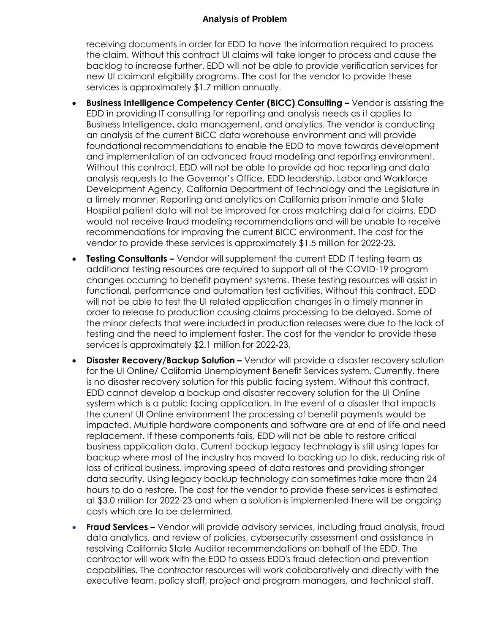receiving documents in order for EDD to have the information required to process the claim. Without this contract UI claims will take longer to process and cause the backlog to increase further. EDD will not be able to provide verification services for new UI claimant eligibility programs. The cost for the vendor to provide these services is approximately \$1.7 million annually.

- EDD in providing IT consulting for reporting and analysis needs as it applies to Business Intelligence, data management, and analytics. The vendor is conducting an analysis of the current BICC data warehouse environment and will provide foundational recommendations to enable the EDD to move towards development Without this contract, EDD will not be able to provide ad hoc reporting and data analysis requests to the Governor's Office, EDD leadership, Labor and Workforce a timely manner. Reporting and analytics on California prison inmate and State Hospital patient data will not be improved for cross matching data for claims. EDD would not receive fraud modeling recommendations and will be unable to receive vendor to provide these services is approximately \$1.5 million for 2022-23. **Business Intelligence Competency Center (BICC) Consulting - Vendor is assisting the** and implementation of an advanced fraud modeling and reporting environment. Development Agency, California Department of Technology and the Legislature in recommendations for improving the current BICC environment. The cost for the
- additional testing resources are required to support all of the COVID-19 program changes occurring to benefit payment systems. These testing resources will assist in functional, performance and automation test activities. Without this contract, EDD will not be able to test the UI related application changes in a timely manner in order to release to production causing claims processing to be delayed. Some of the minor defects that were included in production releases were due to the lack of testing and the need to implement faster. The cost for the vendor to provide these services is approximately \$2.1 million for 2022-23. **Testing Consultants –** Vendor will supplement the current EDD IT testing team as
- **Disaster Recovery/Backup Solution -** Vendor will provide a disaster recovery solution for the UI Online/ California Unemployment Benefit Services system. Currently, there is no disaster recovery solution for this public facing system. Without this contract, EDD cannot develop a backup and disaster recovery solution for the UI Online system which is a public facing application. In the event of a disaster that impacts the current UI Online environment the processing of benefit payments would be impacted. Multiple hardware components and software are at end of life and need replacement. If these components fails, EDD will not be able to restore critical business application data. Current backup legacy technology is still using tapes for backup where most of the industry has moved to backing up to disk, reducing risk of loss of critical business, improving speed of data restores and providing stronger data security. Using legacy backup technology can sometimes take more than 24 hours to do a restore. The cost for the vendor to provide these services is estimated at \$3.0 million for 2022-23 and when a solution is implemented there will be ongoing costs which are to be determined.
- **Fraud Services –** Vendor will provide advisory services, including fraud analysis, fraud resolving California State Auditor recommendations on behalf of the EDD. The contractor will work with the EDD to assess EDD's fraud detection and prevention capabilities. The contractor resources will work collaboratively and directly with the executive team, policy staff, project and program managers, and technical staff. data analytics, and review of policies, cybersecurity assessment and assistance in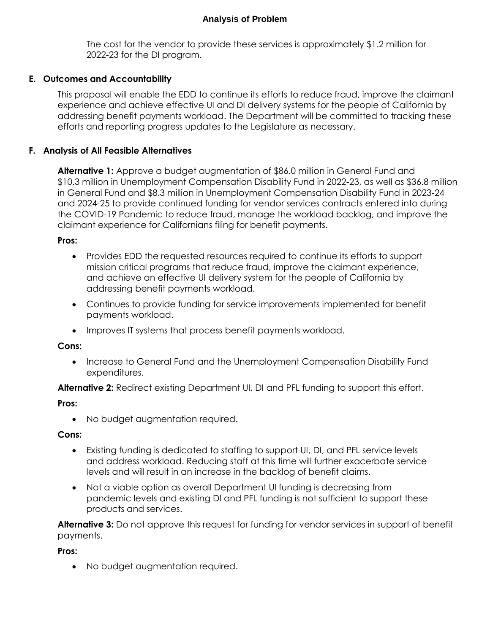The cost for the vendor to provide these services is approximately \$1.2 million for 2022-23 for the DI program.

## **E. Outcomes and Accountability**

 This proposal will enable the EDD to continue its efforts to reduce fraud, improve the claimant addressing benefit payments workload. The Department will be committed to tracking these efforts and reporting progress updates to the Legislature as necessary. experience and achieve effective UI and DI delivery systems for the people of California by

#### **F. Analysis of All Feasible Alternatives**

 \$10.3 million in Unemployment Compensation Disability Fund in 2022-23, as well as \$36.8 million in General Fund and \$8.3 million in Unemployment Compensation Disability Fund in 2023-24 the COVID-19 Pandemic to reduce fraud, manage the workload backlog, and improve the claimant experience for Californians filing for benefit payments. **Alternative 1:** Approve a budget augmentation of \$86.0 million in General Fund and and 2024-25 to provide continued funding for vendor services contracts entered into during

#### **Pros:**

- Provides EDD the requested resources required to continue its efforts to support mission critical programs that reduce fraud, improve the claimant experience, and achieve an effective UI delivery system for the people of California by addressing benefit payments workload.
- Continues to provide funding for service improvements implemented for benefit payments workload.
- Improves IT systems that process benefit payments workload.

#### **Cons:**

• Increase to General Fund and the Unemployment Compensation Disability Fund expenditures.

**Alternative 2:** Redirect existing Department UI, DI and PFL funding to support this effort.

#### **Pros:**

• No budget augmentation required.

#### **Cons:**

- Existing funding is dedicated to staffing to support UI, DI, and PFL service levels and address workload. Reducing staff at this time will further exacerbate service levels and will result in an increase in the backlog of benefit claims.
- Not a viable option as overall Department UI funding is decreasing from pandemic levels and existing DI and PFL funding is not sufficient to support these products and services.

 **Alternative 3:** Do not approve this request for funding for vendor services in support of benefit payments.

**Pros:** 

No budget augmentation required.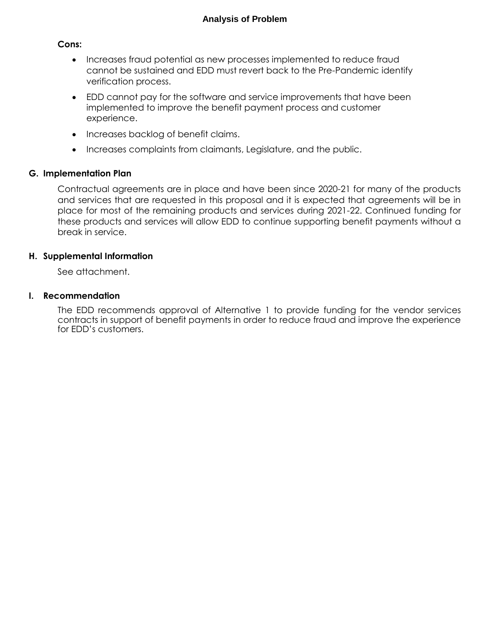#### **Cons:**

- Increases fraud potential as new processes implemented to reduce fraud cannot be sustained and EDD must revert back to the Pre-Pandemic identify verification process.
- EDD cannot pay for the software and service improvements that have been implemented to improve the benefit payment process and customer experience.
- Increases backlog of benefit claims.
- Increases complaints from claimants, Legislature, and the public.

#### **G. Implementation Plan**

 and services that are requested in this proposal and it is expected that agreements will be in these products and services will allow EDD to continue supporting benefit payments without a Contractual agreements are in place and have been since 2020-21 for many of the products place for most of the remaining products and services during 2021-22. Continued funding for break in service.

#### **H. Supplemental Information**

See attachment.

#### **I. Recommendation**

 The EDD recommends approval of Alternative 1 to provide funding for the vendor services contracts in support of benefit payments in order to reduce fraud and improve the experience for EDD's customers.